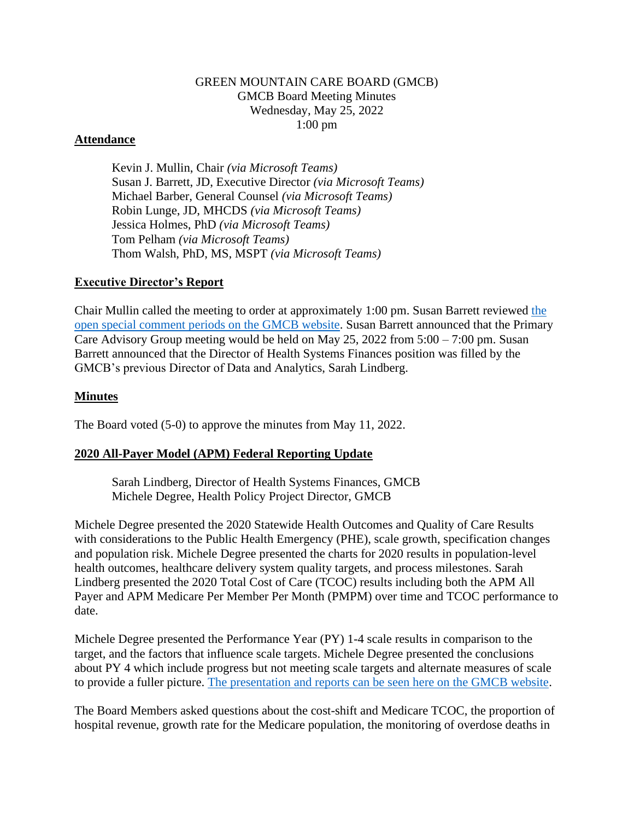#### GREEN MOUNTAIN CARE BOARD (GMCB) GMCB Board Meeting Minutes Wednesday, May 25, 2022 1:00 pm

#### **Attendance**

Kevin J. Mullin, Chair *(via Microsoft Teams)* Susan J. Barrett, JD, Executive Director *(via Microsoft Teams)* Michael Barber, General Counsel *(via Microsoft Teams)* Robin Lunge, JD, MHCDS *(via Microsoft Teams)* Jessica Holmes, PhD *(via Microsoft Teams)* Tom Pelham *(via Microsoft Teams)* Thom Walsh, PhD, MS, MSPT *(via Microsoft Teams)*

#### **Executive Director's Report**

Chair Mullin called the meeting to order at approximately 1:00 pm. Susan Barrett reviewed [the](https://gmcboard.vermont.gov/board/comment)  [open special comment periods on the GMCB website.](https://gmcboard.vermont.gov/board/comment) Susan Barrett announced that the Primary Care Advisory Group meeting would be held on May 25, 2022 from 5:00 – 7:00 pm. Susan Barrett announced that the Director of Health Systems Finances position was filled by the GMCB's previous Director of Data and Analytics, Sarah Lindberg.

#### **Minutes**

The Board voted (5-0) to approve the minutes from May 11, 2022.

## **2020 All-Payer Model (APM) Federal Reporting Update**

Sarah Lindberg, Director of Health Systems Finances, GMCB Michele Degree, Health Policy Project Director, GMCB

Michele Degree presented the 2020 Statewide Health Outcomes and Quality of Care Results with considerations to the Public Health Emergency (PHE), scale growth, specification changes and population risk. Michele Degree presented the charts for 2020 results in population-level health outcomes, healthcare delivery system quality targets, and process milestones. Sarah Lindberg presented the 2020 Total Cost of Care (TCOC) results including both the APM All Payer and APM Medicare Per Member Per Month (PMPM) over time and TCOC performance to date.

Michele Degree presented the Performance Year (PY) 1-4 scale results in comparison to the target, and the factors that influence scale targets. Michele Degree presented the conclusions about PY 4 which include progress but not meeting scale targets and alternate measures of scale to provide a fuller picture. [The presentation and reports can be seen here on the GMCB website.](https://gmcboard.vermont.gov/board/meeting-information/2022-meetings)

The Board Members asked questions about the cost-shift and Medicare TCOC, the proportion of hospital revenue, growth rate for the Medicare population, the monitoring of overdose deaths in